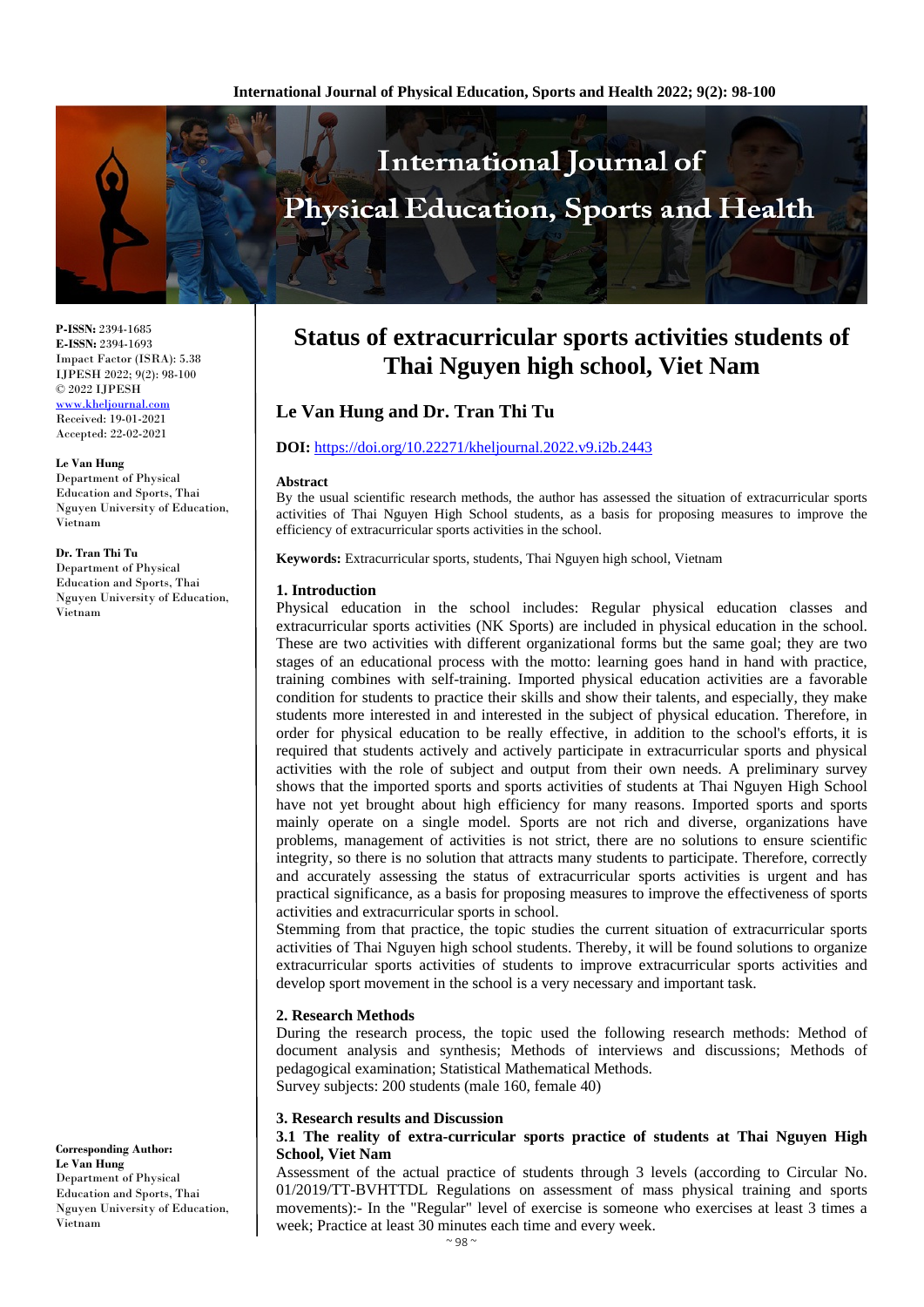

**P-ISSN:** 2394-1685 **E-ISSN:** 2394-1693 Impact Factor (ISRA): 5.38 IJPESH 2022; 9(2): 98-100 © 2022 IJPESH

[www.kheljournal.com](http://www.kheljournal.com/) Received: 19-01-2021 Accepted: 22-02-2021

**Le Van Hung** Department of Physical Education and Sports, Thai Nguyen University of Education, Vietnam

#### **Dr. Tran Thi Tu**

Department of Physical Education and Sports, Thai Nguyen University of Education, Vietnam

**Corresponding Author: Le Van Hung** Department of Physical Education and Sports, Thai Nguyen University of Education, Vietnam

# **Status of extracurricular sports activities students of Thai Nguyen high school, Viet Nam**

# **Le Van Hung and Dr. Tran Thi Tu**

#### **DOI:** <https://doi.org/10.22271/kheljournal.2022.v9.i2b.2443>

#### **Abstract**

By the usual scientific research methods, the author has assessed the situation of extracurricular sports activities of Thai Nguyen High School students, as a basis for proposing measures to improve the efficiency of extracurricular sports activities in the school.

**Keywords:** Extracurricular sports, students, Thai Nguyen high school, Vietnam

#### **1. Introduction**

Physical education in the school includes: Regular physical education classes and extracurricular sports activities (NK Sports) are included in physical education in the school. These are two activities with different organizational forms but the same goal; they are two stages of an educational process with the motto: learning goes hand in hand with practice, training combines with self-training. Imported physical education activities are a favorable condition for students to practice their skills and show their talents, and especially, they make students more interested in and interested in the subject of physical education. Therefore, in order for physical education to be really effective, in addition to the school's efforts, it is required that students actively and actively participate in extracurricular sports and physical activities with the role of subject and output from their own needs. A preliminary survey shows that the imported sports and sports activities of students at Thai Nguyen High School have not yet brought about high efficiency for many reasons. Imported sports and sports mainly operate on a single model. Sports are not rich and diverse, organizations have problems, management of activities is not strict, there are no solutions to ensure scientific integrity, so there is no solution that attracts many students to participate. Therefore, correctly and accurately assessing the status of extracurricular sports activities is urgent and has practical significance, as a basis for proposing measures to improve the effectiveness of sports activities and extracurricular sports in school.

Stemming from that practice, the topic studies the current situation of extracurricular sports activities of Thai Nguyen high school students. Thereby, it will be found solutions to organize extracurricular sports activities of students to improve extracurricular sports activities and develop sport movement in the school is a very necessary and important task.

#### **2. Research Methods**

During the research process, the topic used the following research methods: Method of document analysis and synthesis; Methods of interviews and discussions; Methods of pedagogical examination; Statistical Mathematical Methods. Survey subjects: 200 students (male 160, female 40)

#### **3. Research results and Discussion**

# **3.1 The reality of extra-curricular sports practice of students at Thai Nguyen High School, Viet Nam**

Assessment of the actual practice of students through 3 levels (according to Circular No. 01/2019/TT-BVHTTDL Regulations on assessment of mass physical training and sports movements):- In the "Regular" level of exercise is someone who exercises at least 3 times a week; Practice at least 30 minutes each time and every week.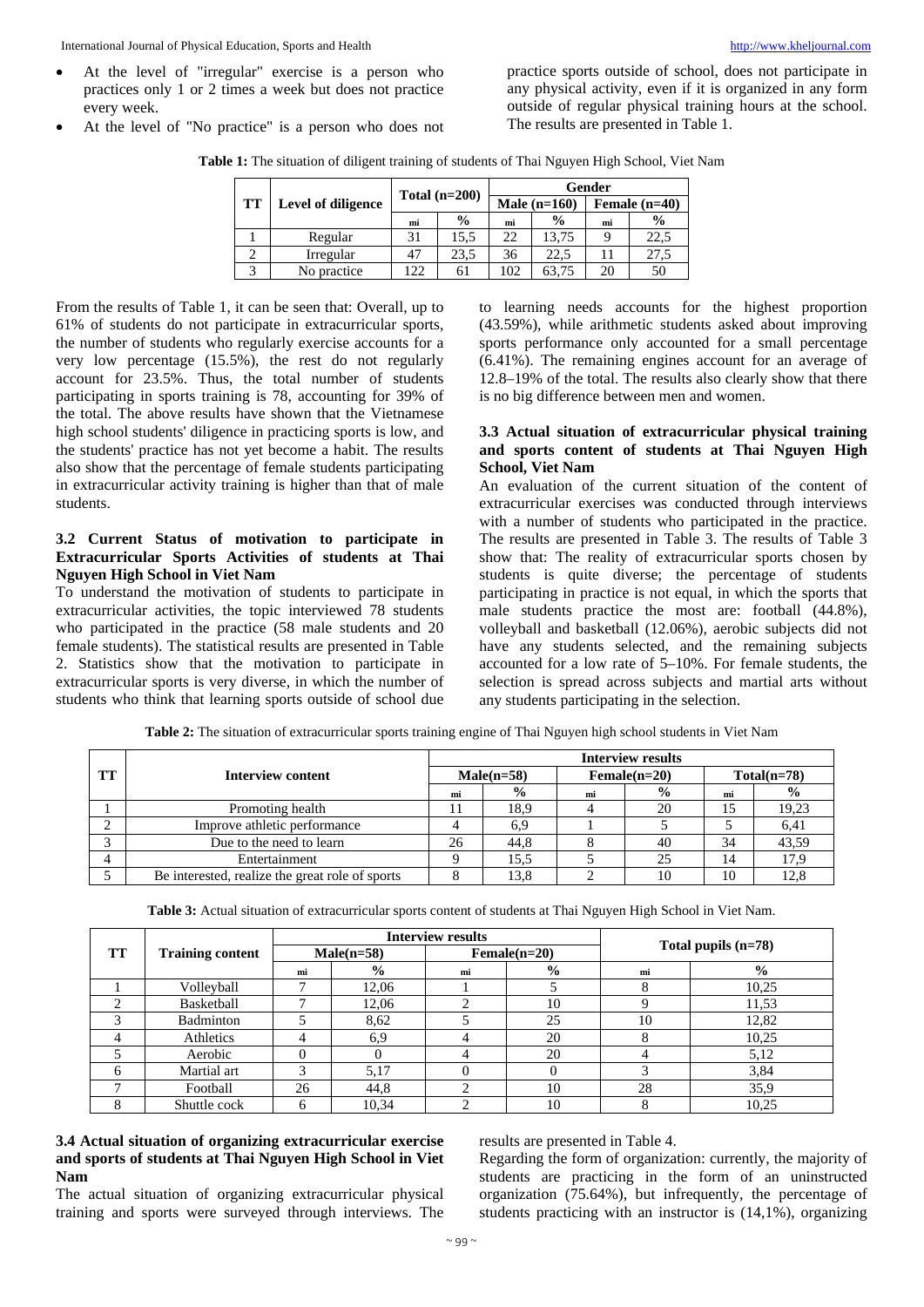• At the level of "No practice" is a person who does not

practice sports outside of school, does not participate in any physical activity, even if it is organized in any form outside of regular physical training hours at the school. The results are presented in Table 1.

**Table 1:** The situation of diligent training of students of Thai Nguyen High School, Viet Nam

| <b>TT</b> |                    | Total $(n=200)$ |               | Gender         |               |                 |               |
|-----------|--------------------|-----------------|---------------|----------------|---------------|-----------------|---------------|
|           | Level of diligence |                 |               | Male $(n=160)$ |               | Female $(n=40)$ |               |
|           |                    | mi              | $\frac{0}{0}$ | mi             | $\frac{0}{0}$ | mi              | $\frac{0}{0}$ |
|           | Regular            | 31              | 15.5          | 22             | 13.75         |                 | 22.5          |
|           | Irregular          | 47              | 23,5          | 36             | 22.5          |                 | 27.5          |
|           | No practice        | 122             | 61            | 102            | 63.75         | 20              | 50            |

From the results of Table 1, it can be seen that: Overall, up to 61% of students do not participate in extracurricular sports, the number of students who regularly exercise accounts for a very low percentage (15.5%), the rest do not regularly account for 23.5%. Thus, the total number of students participating in sports training is 78, accounting for 39% of the total. The above results have shown that the Vietnamese high school students' diligence in practicing sports is low, and the students' practice has not yet become a habit. The results also show that the percentage of female students participating in extracurricular activity training is higher than that of male students.

# **3.2 Current Status of motivation to participate in Extracurricular Sports Activities of students at Thai Nguyen High School in Viet Nam**

To understand the motivation of students to participate in extracurricular activities, the topic interviewed 78 students who participated in the practice (58 male students and 20 female students). The statistical results are presented in Table 2. Statistics show that the motivation to participate in extracurricular sports is very diverse, in which the number of students who think that learning sports outside of school due to learning needs accounts for the highest proportion (43.59%), while arithmetic students asked about improving sports performance only accounted for a small percentage (6.41%). The remaining engines account for an average of 12.8–19% of the total. The results also clearly show that there is no big difference between men and women.

# **3.3 Actual situation of extracurricular physical training and sports content of students at Thai Nguyen High School, Viet Nam**

An evaluation of the current situation of the content of extracurricular exercises was conducted through interviews with a number of students who participated in the practice. The results are presented in Table 3. The results of Table 3 show that: The reality of extracurricular sports chosen by students is quite diverse; the percentage of students participating in practice is not equal, in which the sports that male students practice the most are: football (44.8%), volleyball and basketball (12.06%), aerobic subjects did not have any students selected, and the remaining subjects accounted for a low rate of 5–10%. For female students, the selection is spread across subjects and martial arts without any students participating in the selection.

|           |                                                 | <b>Interview results</b> |               |                |               |               |               |  |
|-----------|-------------------------------------------------|--------------------------|---------------|----------------|---------------|---------------|---------------|--|
| <b>TT</b> | Interview content                               | $Male(n=58)$             |               | $Female(n=20)$ |               | $Total(n=78)$ |               |  |
|           |                                                 | mi                       | $\frac{0}{0}$ | mi             | $\frac{6}{9}$ | mi            | $\frac{0}{0}$ |  |
|           | Promoting health                                |                          | 18.9          |                | 20            | 15            | 19,23         |  |
|           | Improve athletic performance                    |                          | 6.9           |                |               |               | 6,41          |  |
|           | Due to the need to learn                        | 26                       | 44.8          |                | 40            | 34            | 43,59         |  |
|           | Entertainment                                   |                          | 15.5          |                | 25            | 14            | 17.9          |  |
|           | Be interested, realize the great role of sports |                          | 13.8          |                | 10            | 10            |               |  |

**Table 2:** The situation of extracurricular sports training engine of Thai Nguyen high school students in Viet Nam

**Table 3:** Actual situation of extracurricular sports content of students at Thai Nguyen High School in Viet Nam.

|           | <b>Training content</b> | <b>Interview results</b> |               |                |               |                       |               |  |
|-----------|-------------------------|--------------------------|---------------|----------------|---------------|-----------------------|---------------|--|
| <b>TT</b> |                         | $Male(n=58)$             |               | $Female(n=20)$ |               | Total pupils $(n=78)$ |               |  |
|           |                         | mi                       | $\frac{6}{9}$ | mi             | $\frac{0}{0}$ | mi                    | $\frac{6}{6}$ |  |
|           | Volleyball              |                          | 12.06         |                |               |                       | 10,25         |  |
| ◠         | Basketball              |                          | 12,06         |                | 10            |                       | 11,53         |  |
|           | Badminton               |                          | 8,62          |                | 25            | 10                    | 12,82         |  |
| 4         | Athletics               |                          | 6,9           |                | 20            |                       | 10,25         |  |
|           | Aerobic                 |                          |               |                | 20            |                       | 5,12          |  |
| 6         | Martial art             | ◠                        | 5,17          |                |               |                       | 3,84          |  |
|           | Football                | 26                       | 44,8          |                | 10            | 28                    | 35,9          |  |
| $\circ$   | Shuttle cock            |                          | 10,34         |                | 10            |                       | 10,25         |  |

# **3.4 Actual situation of organizing extracurricular exercise and sports of students at Thai Nguyen High School in Viet Nam**

The actual situation of organizing extracurricular physical training and sports were surveyed through interviews. The results are presented in Table 4.

Regarding the form of organization: currently, the majority of students are practicing in the form of an uninstructed organization (75.64%), but infrequently, the percentage of students practicing with an instructor is (14,1%), organizing